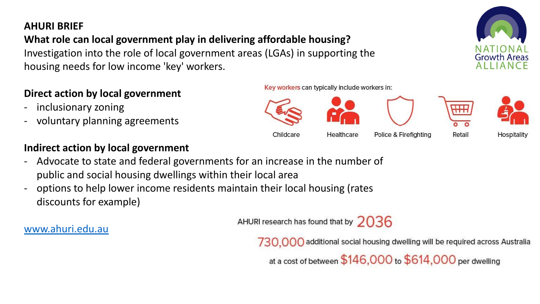#### **AHURI BRIEF**

#### **What role can local government play in delivering affordable housing?** Investigation into the role of local government areas (LGAs) in supporting the

housing needs for low income 'key' workers.

### **Direct action by local government**

- inclusionary zoning
- voluntary planning agreements

### **Indirect action by local government**

- Advocate to state and federal governments for an increase in the number of public and social housing dwellings within their local area
- options to help lower income residents maintain their local housing (rates discounts for example)

AHURI research has found that by  $2036$ 

Childcare

#### [www.ahuri.edu.au](http://www.ahuri.edu.au/)

730,000 additional social housing dwelling will be required across Australia

Police & Firefighting

at a cost of between \$146,000 to \$614,000 per dwelling

Key workers can typically include workers in:

Healthcare



Retail



Hospitality



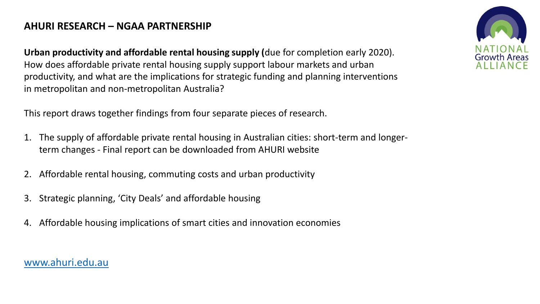#### **AHURI RESEARCH – NGAA PARTNERSHIP**

**Urban productivity and affordable rental housing supply (**due for completion early 2020). How does affordable private rental housing supply support labour markets and urban productivity, and what are the implications for strategic funding and planning interventions in metropolitan and non-metropolitan Australia?

This report draws together findings from four separate pieces of research.

- 1. The supply of affordable private rental housing in Australian cities: short-term and longerterm changes - Final report can be downloaded from AHURI website
- 2. Affordable rental housing, commuting costs and urban productivity
- 3. Strategic planning, 'City Deals' and affordable housing
- 4. Affordable housing implications of smart cities and innovation economies

[www.ahuri.edu.au](http://www.ahuri.edu.au/)

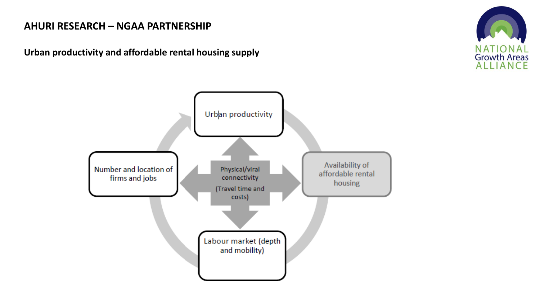#### **AHURI RESEARCH – NGAA PARTNERSHIP**

**Urban productivity and affordable rental housing supply**



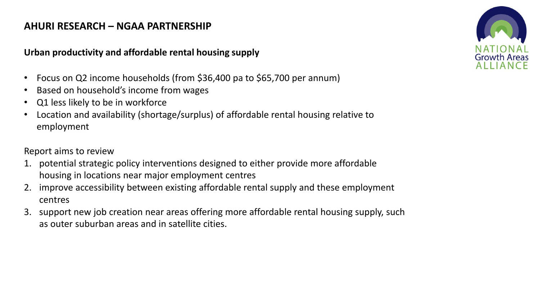#### **AHURI RESEARCH – NGAA PARTNERSHIP**

#### **Urban productivity and affordable rental housing supply**

- Focus on Q2 income households (from \$36,400 pa to \$65,700 per annum)
- Based on household's income from wages
- Q1 less likely to be in workforce
- Location and availability (shortage/surplus) of affordable rental housing relative to employment

Report aims to review

- 1. potential strategic policy interventions designed to either provide more affordable housing in locations near major employment centres
- 2. improve accessibility between existing affordable rental supply and these employment centres
- 3. support new job creation near areas offering more affordable rental housing supply, such as outer suburban areas and in satellite cities.

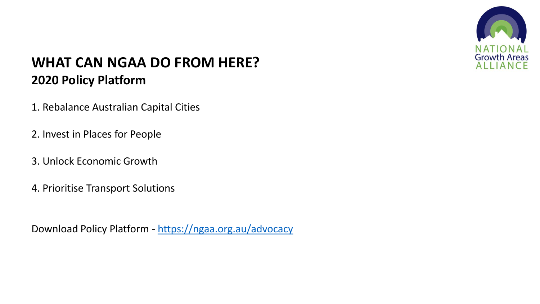

# **WHAT CAN NGAA DO FROM HERE? 2020 Policy Platform**

- 1. Rebalance Australian Capital Cities
- 2. Invest in Places for People
- 3. Unlock Economic Growth
- 4. Prioritise Transport Solutions

Download Policy Platform - <https://ngaa.org.au/advocacy>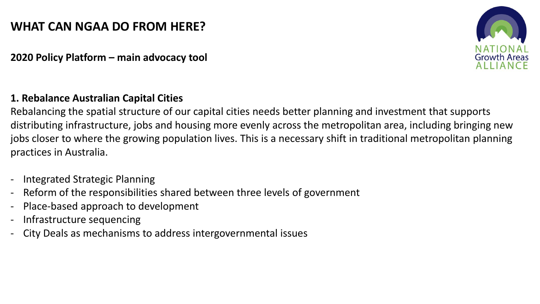## **WHAT CAN NGAA DO FROM HERE?**

**2020 Policy Platform – main advocacy tool**

#### **1. Rebalance Australian Capital Cities**

Rebalancing the spatial structure of our capital cities needs better planning and investment that supports distributing infrastructure, jobs and housing more evenly across the metropolitan area, including bringing new jobs closer to where the growing population lives. This is a necessary shift in traditional metropolitan planning practices in Australia.

- Integrated Strategic Planning
- Reform of the responsibilities shared between three levels of government
- Place-based approach to development
- Infrastructure sequencing
- City Deals as mechanisms to address intergovernmental issues